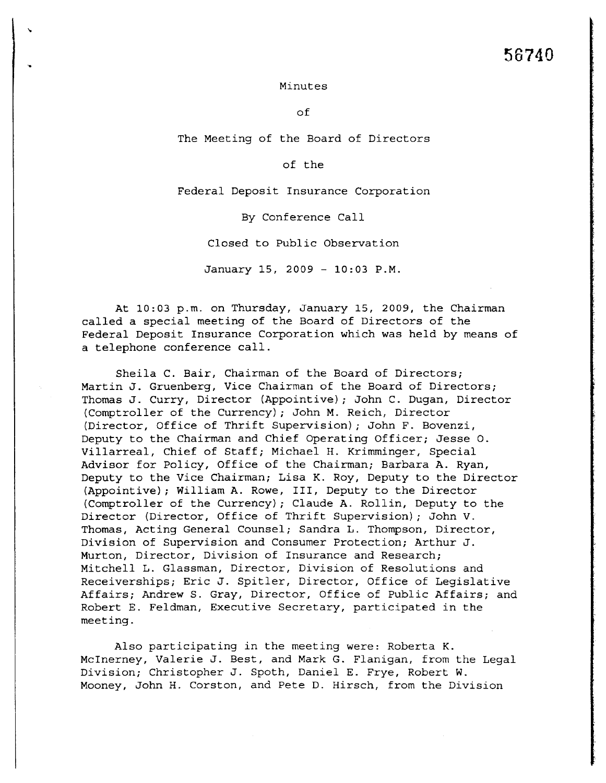## Minutes

~

of

The Meeting of the Board of Directors

## of the

Federal Deposit Insurance Corporation

By Conference Call

Closed to Public Observation

January 15, 2009 - 10: 03 P. M.

At 10:03 p.m. on Thursday, January 15, 2009, the Chairman called a special meeting of the Board of Directors of the Federal Deposit Insurance Corporation which was held by means of a telephone conference call.

Sheila C. Bair, Chairman of the Board of Directors; Martin J. Gruenberg, Vice Chairman of the Board of Directors; Thomas J. Curry, Director (Appointive); John C. Dugan, Director (Comptroller of the Currency); John M. Reich, Director (Director, Office of Thrift Supervision); John F. Bovenzi, Deputy to the Chairman and Chief Operating Officer; Jesse O. Villarreal, Chief of Staff; Michael H. Krimminger, Special Advisor for Policy, Office of the Chairman; Barbara A. Ryan, Deputy to the Vice Chairman; Lisa K. Roy, Deputy to the Director (Appointive); William A. Rowe, III, Deputy to the Director (Comptroller of the Currency); Claude A. Rollin, Deputy to the Director (Director, Office of Thrift Supervision); John V. Thomas, Acting General Counsel; Sandra L. Thompson, Director, Division of Supervision and Consumer Protection; Arthur J. Murton, Director, Division of Insurance and Research; Mitchell L. Glassman, Director, Division of Resolutions and Receiverships; Eric J. Spitler, Director, Office of Legislative Affairs; Andrew S. Gray, Director, Office of Public Affairs; and Robert E. Feldman, Executive Secretary, participated in the meeting.

Also participating in the meeting were: Roberta K. McInerney, Valerie J. Best, and Mark G. Flanigan, from the Legal Division; Christopher J. Spoth, Daniel E. Frye, Robert W. Mooney, John H. Corston, and Pete D. Hirsch, from the Division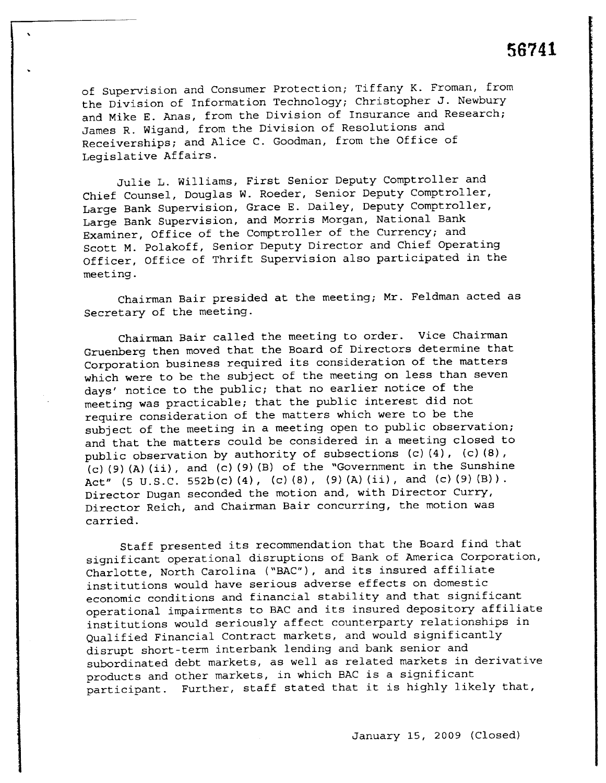of Supervision and Consumer Protection; Tiffany K. Froman, from the Division of Information Technology; Christopher J. Newbury and Mike E. Anas, from the Division of Insurance and Research; James R. Wigand, from the Division of Resolutions and Receiverships; and Alice C. Goodman, from the Office of Legislative Affairs.

Julie L. Williams, First Senior Deputy Comptroller and Chief Counsel, Douglas W. Roeder, Senior Deputy Comptroller, Large Bank supervision, Grace E. Dailey, Deputy Comptroller, Large Bank Supervision, and Morris Morgan, National Bank Examiner, Office of the Comptroller of the Currency; and Scott M. Polakoff, Senior Deputy Director and Chief Operating Officer, Office of Thrift Supervision also participated in the meeting.

Chairman Bair presided at the meeting; Mr. Feldman acted as Secretary of the meeting.

Chairman Bair called the meeting to order. Vice Chairman Gruenberg then moved that the Board of Directors determine that Corporation business required its consideration of the matters which were to be the subject of the meeting on less than seven days' notice to the public; that no earlier notice of the meeting was practicable; that the public interest did not require consideration of the matters which were to be the subject of the meeting in a meeting open to public observation; and that the matters could be considered in a meeting closed to public observation by authority of subsections (c) (4), (c) (8) ,  $(c)$  (9) (A) (ii), and (c) (9) (B) of the "Government in the Sunshine Act" (5 U.S.C. 552b(c)(4), (c)(8), (9)(A)(ii), and (c)(9)(B)). Director Dugan seconded the motion and, with Director Curry, Director Reich, and Chairman Bair concurring, the motion was carried.

Staff presented its recommendation that the Board find that significant operational disruptions of Bank of America Corporation, Charlotte, North Carolina ("BAC"), and its insured affiliate institutions would have serious adverse effects on domestic economic conditions and financial stability and that significant operational impairments to BAC and its insured depository affiliate institutions would seriously affect counterparty relationships in Qualified Financial Contract markets, and would significantly disrupt short-term interbank lending and bank senior and subordinated debt markets, as well as related markets in derivative products and other markets, in which BAC is a significant participant. Further, staff stated that it is highly likely that,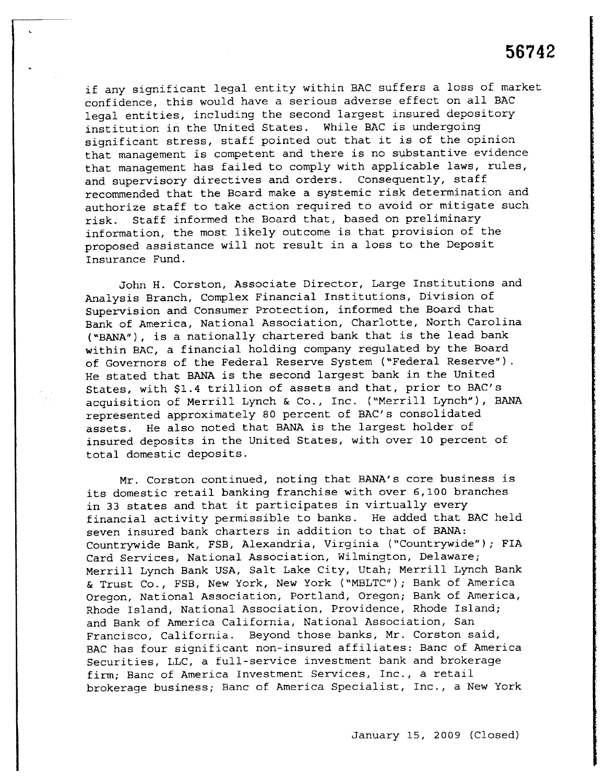if any significant legal entity within BAC suffers a loss of market confidence, this would have a serious adverse effect on all BAC legal entities, including the second largest insured depository institution in the United States. While BAC is undergoing significant stress, staff pointed out that it is of the opinion that management is competent and there is no substantive evidence that management has failed to comply with applicable laws, rules, and supervisory directives and orders. Consequently, staff recommended that the Board make a systemic risk determination and authorize staff to take action required to avoid or mitigate such risk. Staff informed the Board that, based on preliminary information, the most likely outcome is that provision of the proposed assistance will not result in a loss to the Deposit Insurance Fund.

John H. Corston, Associate Director, Large Institutions and Analysis Branch, Complex Financial Institutions, Division of Supervision and Consumer Protection, informed the Board that Bank of America, National Association, Charlotte, North Carolina ("BANA"), is a nationally chartered bank that is the lead bank within BAC, a financial holding company regulated by the Board of Governors of the Federal Reserve System ("Federal Reserve") . He stated that BANA is the second largest bank in the United States, with \$1.4 trillion of assets and that, prior to BAC's acquisition of Merrill Lynch & Co., Inc. ("Merrill Lynch"), BANA represented approximately 80 percent of BAC's consolidated assets. He also noted that BANA is the largest holder of insured deposits in the United States, with over 10 percent of total domestic deposits.

Mr. Corston continued, noting that BANA's core business is its domestic retail banking franchise with over 6,100 branches in 33 states and that it participates in virtually every financial activity permissible to banks. He added that BAC held seven insured bank charters in addition to that of BANA: Countrywide Bank, FSB, Alexandria, Virginia ("Countrywide"); FIA Card Services, National Association, Wilmington, Delaware; Merrill Lynch Bank USA, Salt Lake City, Utah; Merrill Lynch Bank & Trust Co., FSB, New York, New York ("MBLTC"); Bank of America Oregon, National Association, Portland, Oregon; Bank of America, Rhode Island, National Association, Providence, Rhode Island; and Bank of America California, National Association, San Francisco, California. Beyond those banks, Mr. Corston said, BAC has four significant non-insured affiliates: Banc of America Securities, LLC, a full-service investment bank and brokerage firm; Banc of America Investment Services, Inc., a retail brokerage business; Banc of America Specialist, Inc., a New York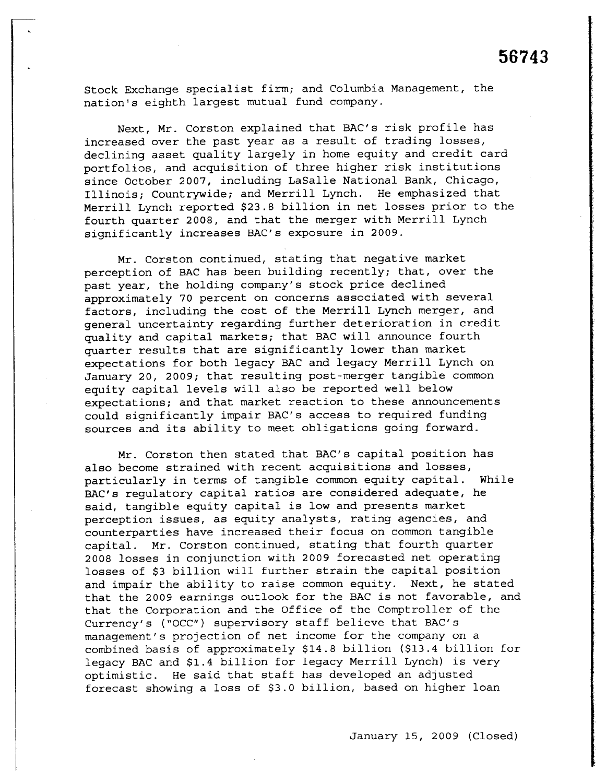Stock Exchange specialist firm; and Columbia Management, the nation's eighth largest mutual fund company.

Next, Mr. Corston explained that BAC's risk profile has increased over the past year as a result of trading losses, declining asset quality largely in home equity and credit card portfolios, and acquisition of three higher risk institutions since October 2007, including LaSalle National Bank, Chicago, Illinois; Countrywide; and Merrill Lynch. He emphasized that Merrill Lynch reported \$23.8 billion in net losses prior to the fourth quarter 2008, and that the merger with Merrill Lynch significantly increases BAC's exposure in 2009.

Mr. Corston continued, stating that negative market perception of BAC has been building recently; that, over the past year, the holding company's stock price declined approximately 70 percent on concerns associated with several factors, including the cost of the Merrill Lynch merger, and general uncertainty regarding further deterioration in credit quality and capital markets; that BAC will announce fourth quarter results that are significantly lower than market expectations for both legacy BAC and legacy Merrill Lynch on January 20, 2009; that resulting post-merger tangible common equity capital levels will also be reported well below expectations; and that market reaction to these announcements could significantly impair BAC's access to required funding sources and its ability to meet obligations going forward.

Mr. Corston then stated that BAC's capital position has also become strained with recent acquisitions and losses, particularly in terms of tangible common equity capital. While BAC's regulatory capital ratios are considered adequate, he said, tangible equity capital is low and presents market perception issues, as equity analysts, rating agencies, and counterparties have increased their focus on common tangible capital. Mr. Corston continued, stating that fourth quarter 2008 losses in conjunction with 2009 forecasted net operating losses of \$3 billion will further strain the capital position and impair the ability to raise common equity. Next, he stated that the 2009 earnings outlook for the BAC is not favorable, and that the Corporation and the office of the Comptroller of the Currency's ("OCC") supervisory staff believe that BAC's management's projection of net income for the company on a combined basis of approximately \$14.8 billion (\$13.4 billion for legacy BAC and \$1.4 billion for legacy Merrill Lynch) is very optimistic. He said that staff has developed an adjusted forecast showing a loss of \$3.0 billion, based on higher loan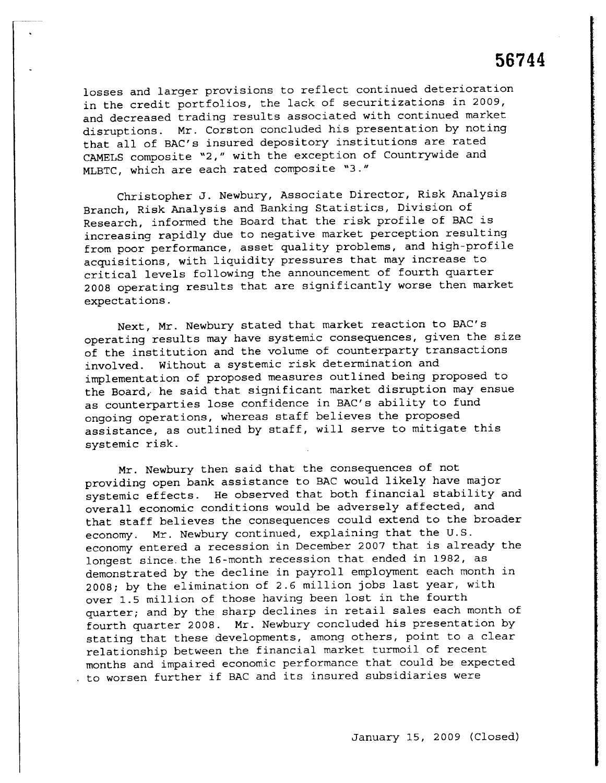losses and larger provisions to reflect continued deterioration in the credit portfolios, the lack of securitizations in 2009, and decreased trading results associated with continued market disruptions. Mr. Corston concluded his presentation by noting that all of BAC's insured depository institutions are rated CAMELS composite "2," with the exception of Countrywide and MLBTC, which are each rated composite "3."

Christopher J. Newbury, Associate Director, Risk Analysis Branch, Risk Analysis and Banking Statistics , Division of Research, informed the Board that the risk profile of BAC is increasing rapidly due to negative market perception resulting from poor performance, asset quality problems, and high-profile acquisitions, with liquidity pressures that may increase to critical levels following the announcement of fourth quarter 2008 operating results that are significantly worse then market expectations.

Next, Mr. Newbury stated that market reaction to BAC's operating results may have systemic consequences, given the size of the institution and the volume of counterparty transactions involved. Without a systemic risk determination and implementation of proposed measures outlined being proposed to the Board, he said that significant market disruption may ensue as counterparties lose confidence in BAC's ability to fund ongoing operations, whereas staff believes the proposed assistance, as outlined by staff, will serve to mitigate this systemic risk.

Mr. Newbury then said that the consequences of not providing open bank assistance to BAC would likely have major systemic effects. He observed that both financial stability and overall economic conditions would be adversely affected, and that staff believes the consequences could extend to the broader economy. Mr. Newbury continued, explaining that the U. S. economy entered a recession in December 2007 that is already the longest since. the 16-month recession that ended in 1982, as demonstrated by the decline in payroll employment each month in 2008; by the elimination of 2.6 million jobs last year, with over 1.5 million of those having been lost in the fourth quarter; and by the sharp declines in retail sales each month of fourth quarter 2008. Mr. Newbury concluded his presentation by stating that these developments, among others, point to a clear relationship between the financial market turmoil of recent months and impaired economic performance that could be expected to worsen further if BAC and its insured subsidiaries were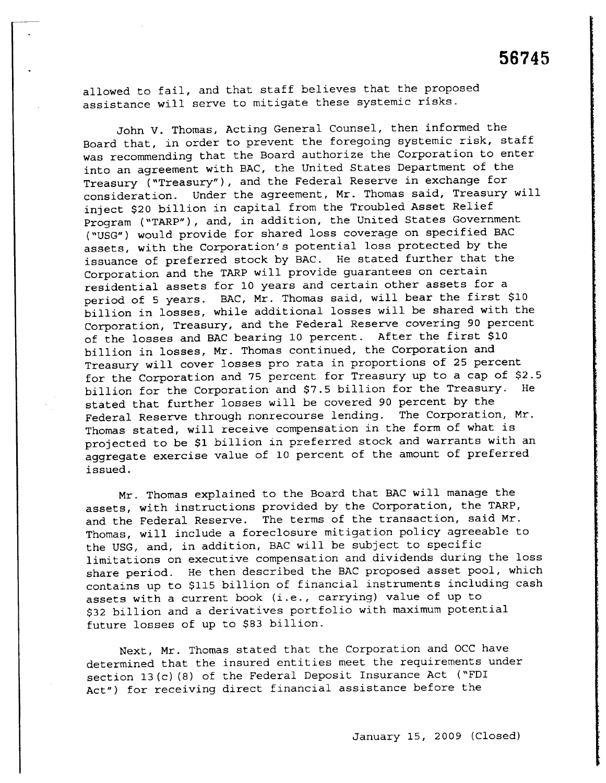allowed to fail, and that staff believes that the proposed assistance will serve to mitigate these systemic risks.

John V. Thomas, Acting General Counsel, then informed the Board that, in order to prevent the foregoing systemic risk, staff was recommending that the Board authorize the Corporation to enter into an agreement with BAC, the United States Department of the Treasury ("Treasury"), and the Federal Reserve in exchange for consideration. Under the agreement, Mr. Thomas said, Treasury will inject \$20 billion in capital from the Troubled Asset Relief Program ("TARP"), and, in addition, the United States Government ("USG") would provide for shared loss coverage on specified BAC assets, with the corporation's potential loss protected by the issuance of preferred stock by BAC. He stated further that the Corporation and the TARP will provide guarantees on certain residential assets for 10 years and certain other assets for a period of 5 years. BAC, Mr. Thomas said, will bear the first \$10 billion in losses, while additional losses will be shared with the Corporation, Treasury, and the Federal Reserve covering 90 percent of the losses and BAC bearing 10 percent. After the first \$10 billion in losses, Mr. Thomas continued, the Corporation and Treasury will cover losses pro rata in proportions of 25 percent for the Corporation and 75 percent for Treasury up to a cap of \$2.5<br>billion for the Corporation and \$7.5 billion for the Treasury. He billion for the Corporation and \$7.5 billion for the Treasury. stated that further losses will be covered 90 percent by the Federal Reserve through nonrecourse lending. The Corporation, Mr. Thomas stated, will receive compensation in the form of what is projected to be \$1 billion in preferred stock and warrants with an aggregate exercise value of 10 percent of the amount of preferred issued.

Mr. Thomas explained to the Board that BAC will manage the assets, with instructions provided by the Corporation, the TARP, and the Federal Reserve. The terms of the transaction, said Mr. Thomas, will include a foreclosure mitigation policy agreeable to the USG, and, in addition, BAC will be subject to specific limitations on executive compensation and dividends during the loss share period. He then described the BAC proposed asset pool, which contains up to \$115 billion of financial instruments including cash assets with a current book (i. e., carrying) value of up to \$32 billion and a derivatives portfolio with maximum potential future losses of up to \$83 billion.

Next, Mr. Thomas stated that the Corporation and OCC have determined that the insured entities meet the requirements under section 13(c) (8) of the Federal Deposit Insurance Act ("FDI Act") for receiving direct financial assistance before the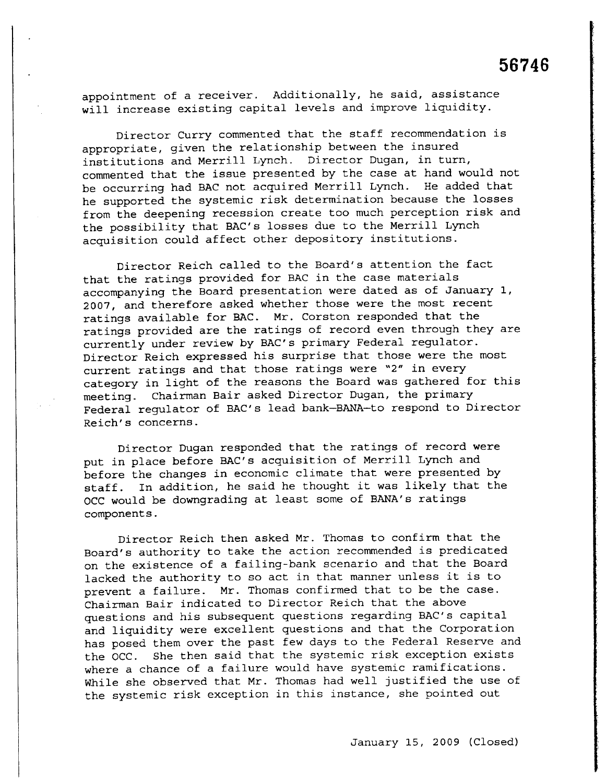appointment of a receiver. Additionally, he said, assistance will increase existing capital levels and improve liquidity.

Director Curry commented that the staff recommendation is appropriate, given the relationship between the insured institutions and Merrill Lynch. Director Dugan, in turn, commented that the issue presented by the case at hand would not be occurring had BAC not acquired Merrill Lynch. He added that he supported the systemic risk determination because the losses from the deepening recession create too much perception risk and the possibility that BAC's losses due to the Merrill Lynch acquisition could affect other depository institutions.

Director Reich called to the Board's attention the fact that the ratings provided for BAC in the case materials accompanying the Board presentation were dated as of January 1, 2007, and therefore asked whether those were the most recent ratings available for BAC. Mr. Corston responded that the ratings provided are the ratings of record even through they are currently under review by BAC's primary Federal regulator. Director Reich expressed his surprise that those were the most current ratings and that those ratings were "2" in every category in light of the reasons the Board was gathered for this meeting. Chairman Bair asked Director Dugan, the primary Federal regulator of BAC's lead bank-BANA-to respond to Director Reich's concerns.

Director Dugan responded that the ratings of record were put in place before BAC's acquisition of Merrill Lynch and before the changes in economic climate that were presented by staff. In addition, he said he thought it was likely that the OCC would be downgrading at least some of BANA's ratings components.

Director Reich then asked Mr. Thomas to confirm that the Board's authority to take the action recommended is predicated on the existence of a failing-bank scenario and that the Board lacked the authority to so act in that manner unless it is to prevent a failure. Mr. Thomas confirmed that to be the case. Chairman Bair indicated to Director Reich that the above questions and his subsequent questions regarding BAC's capital and liquidity were excellent questions and that the Corporation has posed them over the past few days to the Federal Reserve and the OCC. She then said that the systemic risk exception exists where a chance of a failure would have systemic ramifications. While she observed that Mr. Thomas had well justified the use of the systemic risk exception in this instance, she pointed out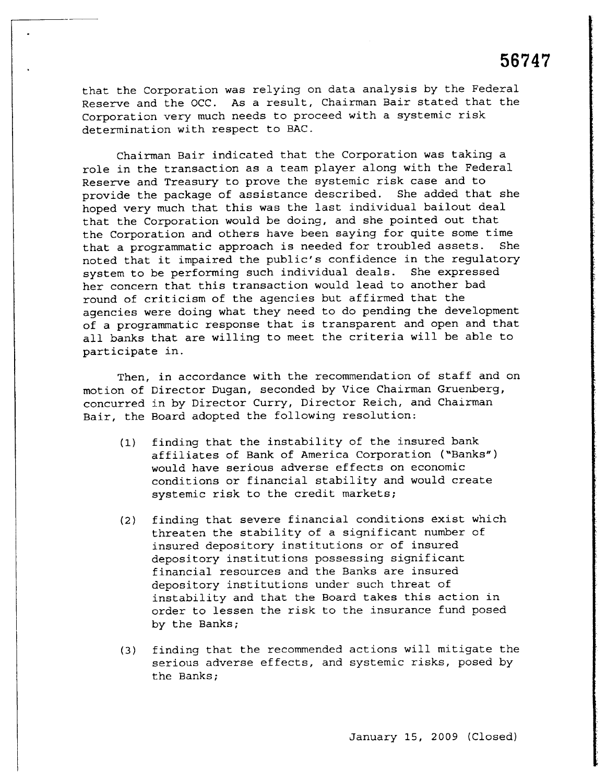that the Corporation was relying on data analysis by the Federal Reserve and the OCC. As a result, Chairman Bair stated that the Corporation very much needs to proceed with a systemic risk determination with respect to BAC.

Chairman Bair indicated that the Corporation was taking a role in the transaction as a team player along with the Federal Reserve and Treasury to prove the systemic risk case and to provide the package of assistance described. She added that she hoped very much that this was the last individual bailout deal that the Corporation would be doing, and she pointed out that the Corporation and others have been saying for quite some time<br>that a programmatic approach is needed for troubled assets. She that a programmatic approach is needed for troubled assets. noted that it impaired the public's confidence in the regulatory system to be performing such individual deals. She expressed her concern that this transaction would lead to another bad round of criticism of the agencies but affirmed that the agencies were doing what they need to do pending the development of a programmatic response that is transparent and open and that all banks that are willing to meet the criteria will be able to participate in.

Then, in accordance with the recommendation of staff and on motion of Director Dugan, seconded by Vice Chairman Gruenberg, concurred in by Director Curry, Director Reich, and Chairman Bair, the Board adopted the following resolution:

- (1) finding that the instability of the insured bank affiliates of Bank of America Corporation ("Banks") would have serious adverse effects on economic conditions or financial stability and would create systemic risk to the credit markets;
- (2) finding that severe financial conditions èxist which threaten the stability of a significant number of insured depository institutions or of insured depository institutions possessing significant financial resources and the Banks are insured depository institutions under such threat of instability and that the Board takes this action in order to lessen the risk to the insurance fund posed by the Banks;
- (3) finding that the recommended actions will mitigate the serious adverse effects, and systemic risks, posed by the Banks;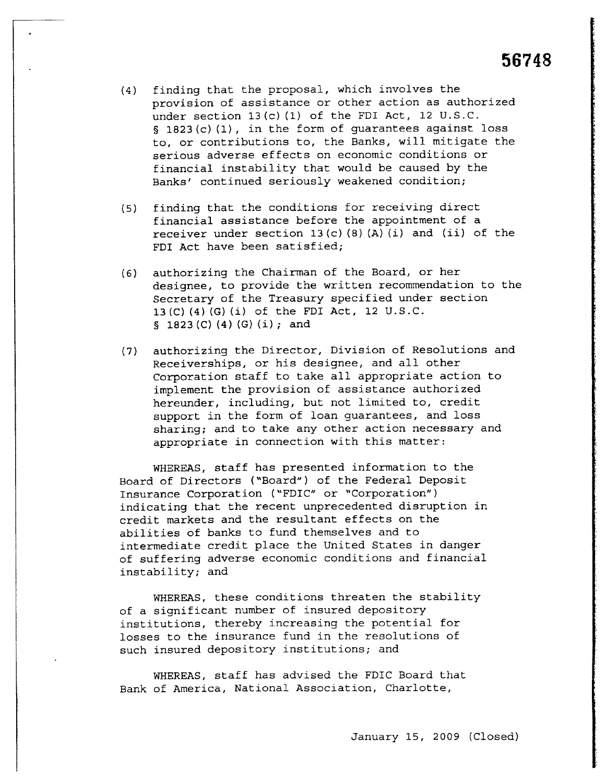- (4) finding that the proposal, which involves the provision of assistance or other action as authorized under section 13 (c) (1) of the FDI Act, 12 U.S.C. § 1823 (c) (1), in the form of guarantees against loss to, or contributions to, the Banks, will mitigate the serious adverse effects on economic conditions or financial instability that would be caused by the Banks' continued seriously weakened condition;
- (5) finding that the conditions for receiving direct financial assistance before the appointment of a receiver under section  $13(c)$  (8) (A) (i) and (ii) of the FDI Act have been satisfied;
- (6) authorizing the Chairman of the Board, or her designee, to provide the written recommendation to the Secretary of the Treasury specified under section 13(C) (4) (G) (i) of the FDI Act, 12 U.S.C.  $\S$  1823 (C) (4) (G) (i); and
- (7) authorizing the Director, Division of Resolutions and Receiverships, or his designee, and all other Corporation staff to take all appropriate action to implement the provision of assistance authorized hereunder, including, but not limited to, credit support in the form of loan guarantees, and loss sharing; and to take any other action necessary and appropriate in connection with this matter:

WHEREAS, staff has presented information to the Board of Directors ("Board") of the Federal Deposit Insurance Corporation ("FDIC" or "Corporation") indicating that the recent unprecedented disruption in credit markets and the resultant effects on the abilities of banks to fund themselves and to intermediate credit place the United States in danger of suffering adverse economic conditions and financial instability; and

WHEREAS, these conditions threaten the stability of a significant number of insured depository institutions, thereby increasing the potential for losses to the insurance fund in the resolutions of such insured depository institutions; and

WHEREAS, staff has advised the FDIC Board that Bank of America, National Association, Charlotte,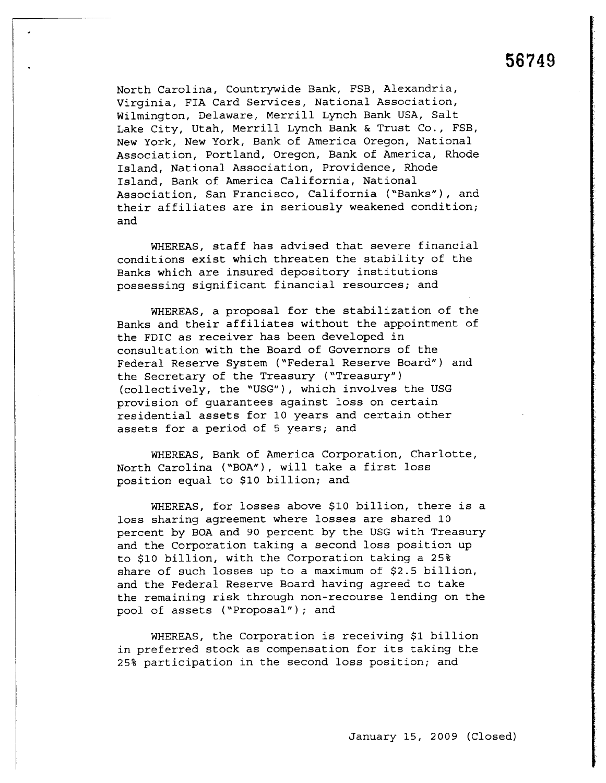North Carolina, Countrywide Bank, FSB, Alexandria, Virginia, FIA Card Services, National Association, Wilmington, Delaware, Merrill Lynch Bank USA, Salt Lake City, Utah, Merrill Lynch Bank & Trust Co., FSB, New York, New York, Bank of America Oregon, National Association, Portland, Oregon, Bank of America, Rhode Island, National Association, Providence, Rhode Island, Bank of America California, National Association, San Francisco, California ("Banks"), and their affiliates are in seriously weakened condition; and

WHEREAS, staff has advised that severe financial conditions exist which threaten the stability of the Banks which are insured depository institutions possessing significant financial resources; and

WHEREAS, a proposal for the stabilization of the Banks and their affiliates without the appointment of the FDIC as receiver has been developed in consultation with the Board of Governors of the Federal Reserve System ("Federal Reserve Board") and the Secretary of the Treasury ("Treasury") (collectively, the "USG"), which involves the USG provision of guarantees against loss on certain residential assets for 10 years and certain other assets for a period of 5 years; and

WHEREAS, Bank of America Corporation, Charlotte, North Carolina ("BOA"), will take a first loss position equal to \$10 billion; and

WHEREAS, for losses above \$10 billion, there is a loss sharing agreement where losses are shared 10 percent by BOA and 90 percent by the USG with Treasury and the Corporation taking a second loss position up to \$10 billion, with the Corporation taking a 25% share of such losses up to a maximum of \$2.5 billion, and the Federal Reserve Board having agreed to take the remaining risk through non-recourse lending on the pool of assets ("Proposal"); and

WHEREAS, the Corporation is receiving \$1 billion in preferred stock as compensation for its taking the 25% participation in the second loss position; and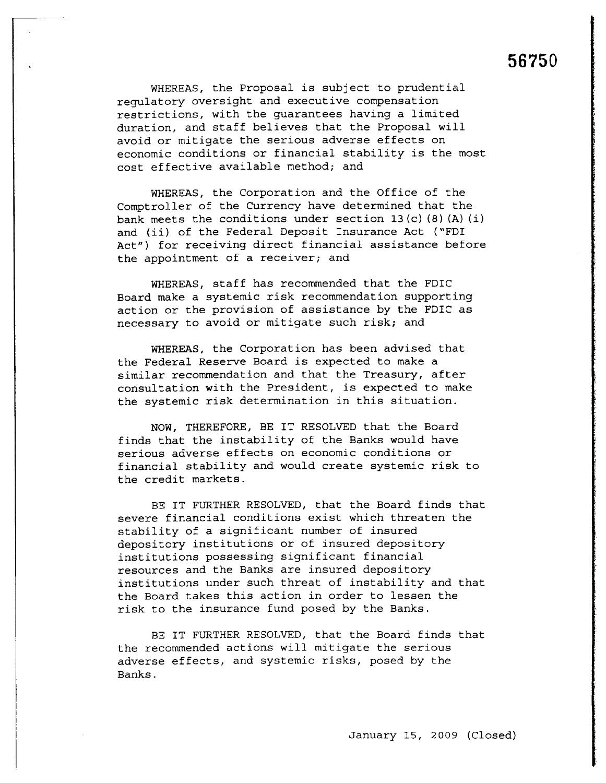WHEREAS, the Proposal is subject to prudential regulatory oversight and executive compensation restrictions, with the guarantees having a limited duration, and staff believes that the Proposal will avoid or mitigate the serious adverse effects on economic conditions or financial stability is the most cost effective available method; and

WHEREAS, the Corporation and the Office of the Comptroller of the Currency have determined that the bank meets the conditions under section 13 (c) (8) (A) (i) and (ii) of the Federal Deposit Insurance Act ("FDI Act") for receiving direct financial assistance before the appointment of a receiver; and

WHEREAS, staff has recommended that the FDIC Board make a systemic risk recommendation supporting action or the provision of assistance by the FDIC as necessary to avoid or mitigate such risk; and

WHEREAS, the Corporation has been advised that the Federal Reserve Board is expected to make a similar recommendation and that the Treasury, after consultation with the President, is expected to make the systemic risk determination in this situation.

NOW, THEREFORE, BE IT RESOLVED that the Board finds that the instability of the Banks would have serious adverse effects on economic conditions or financial stability and would create systemic risk to the credit markets.

BE IT FURTHER RESOLVED, that the Board finds that severe financial conditions exist which threaten the stability of a significant number of insured depository institutions or of insured depository institutions possessing significant financial resources and the Banks are insured depository institutions under such threat of instability and that the Board takes this action in order to lessen the risk to the insurance fund posed by the Banks.

BE IT FURTHER RESOLVED, that the Board finds that the recommended actions will mitigate the serious adverse effects, and systemic risks, posed by the Banks.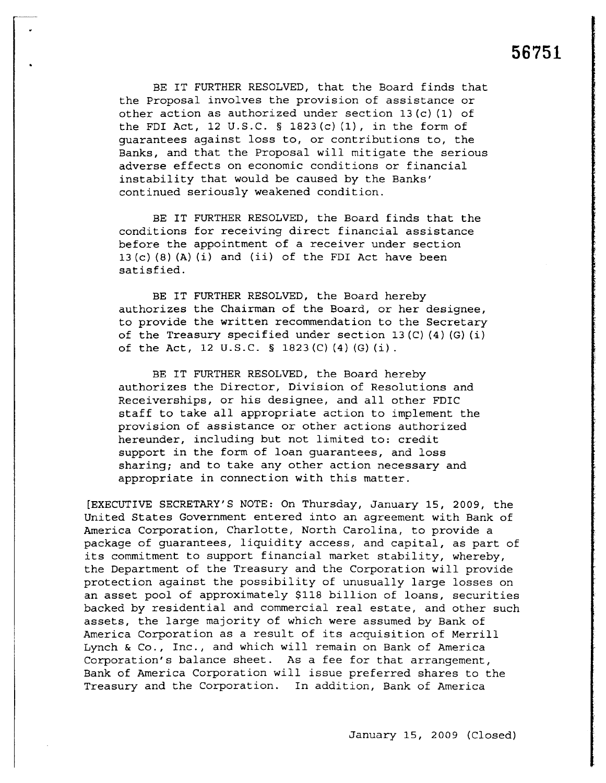BE IT FURTHER RESOLVED, that the Board finds that the Proposal involves the provision of assistance or other action as authorized under section 13 (c) (1) of the FDI Act, 12 U.S.C.  $\S$  1823(c)(1), in the form of guarantees against loss to, or contributions to, the Banks, and that the Proposal will mitigate the serious adverse effects on economic conditions or financial instability that would be caused by the Banks' continued seriously weakened condition.

BE IT FURTHER RESOLVED, the Board finds that the conditions for receiving direct financial assistance before the appointment of a receiver under section  $13 (c) (8) (A) (i)$  and  $(ii)$  of the FDI Act have been satisfied.

BE IT FURTHER RESOLVED, the Board hereby authorizes the Chairman of the Board, or her designee, to provide the written recommendation to the Secretary of the Treasury specified under section 13 (C) (4) (G) (i) of the Act, 12 U.S.C. § 1823 (C) (4) (G) (i).

BE IT FURTHER RESOLVED, the Board hereby authorizes the Director, Division of Resolutions and Receiverships, or his designee, and all other FDIC staff to take all appropriate action to implement the provision of assistance or other actions authorized hereunder, including but not limited to: credit support in the form of loan guarantees, and loss sharing; and to take any other action necessary and appropriate in connection with this matter.

(EXECUTIVE SECRETARY'S NOTE: On Thursday, January 15, 2009, the United States Government entered into an agreement with Bank of America Corporation, Charlotte, North Carolina, to provide a package of guarantees, liquidity access, and capital, as part of its commitment to support financial market stability, whereby, the Department of the Treasury and the Corporation will provide protection against the possibility of unusually large losses on an asset pool of approximately \$118 billion of loans, securities backed by residential and commercial real estate, and other such assets, the large majority of which were assumed by Bank of America Corporation as a result of its acquisition of Merrill Lynch & Co., Inc., and which will remain on Bank of America Corporation's balance sheet. As a fee for that arrangement, Bank of America Corporation will issue preferred shares to the Treasury and the Corporation. In addition, Bank of America